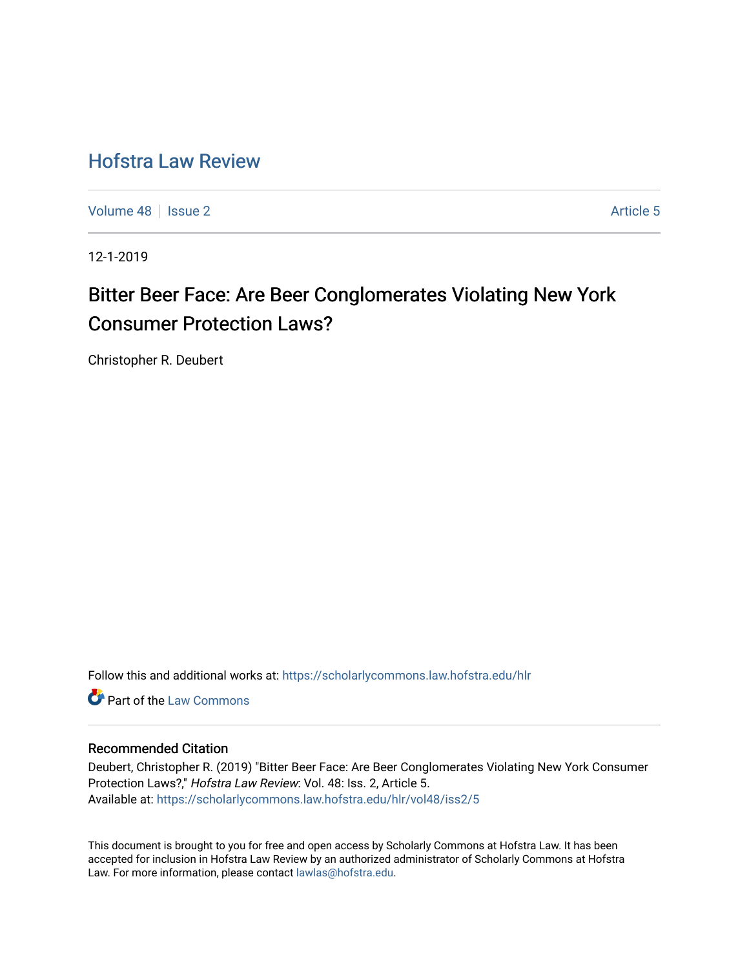# [Hofstra Law Review](https://scholarlycommons.law.hofstra.edu/hlr)

[Volume 48](https://scholarlycommons.law.hofstra.edu/hlr/vol48) | [Issue 2](https://scholarlycommons.law.hofstra.edu/hlr/vol48/iss2) Article 5

12-1-2019

# Bitter Beer Face: Are Beer Conglomerates Violating New York Consumer Protection Laws?

Christopher R. Deubert

Follow this and additional works at: [https://scholarlycommons.law.hofstra.edu/hlr](https://scholarlycommons.law.hofstra.edu/hlr?utm_source=scholarlycommons.law.hofstra.edu%2Fhlr%2Fvol48%2Fiss2%2F5&utm_medium=PDF&utm_campaign=PDFCoverPages)

**C** Part of the [Law Commons](http://network.bepress.com/hgg/discipline/578?utm_source=scholarlycommons.law.hofstra.edu%2Fhlr%2Fvol48%2Fiss2%2F5&utm_medium=PDF&utm_campaign=PDFCoverPages)

# Recommended Citation

Deubert, Christopher R. (2019) "Bitter Beer Face: Are Beer Conglomerates Violating New York Consumer Protection Laws?," Hofstra Law Review: Vol. 48: Iss. 2, Article 5. Available at: [https://scholarlycommons.law.hofstra.edu/hlr/vol48/iss2/5](https://scholarlycommons.law.hofstra.edu/hlr/vol48/iss2/5?utm_source=scholarlycommons.law.hofstra.edu%2Fhlr%2Fvol48%2Fiss2%2F5&utm_medium=PDF&utm_campaign=PDFCoverPages)

This document is brought to you for free and open access by Scholarly Commons at Hofstra Law. It has been accepted for inclusion in Hofstra Law Review by an authorized administrator of Scholarly Commons at Hofstra Law. For more information, please contact [lawlas@hofstra.edu.](mailto:lawlas@hofstra.edu)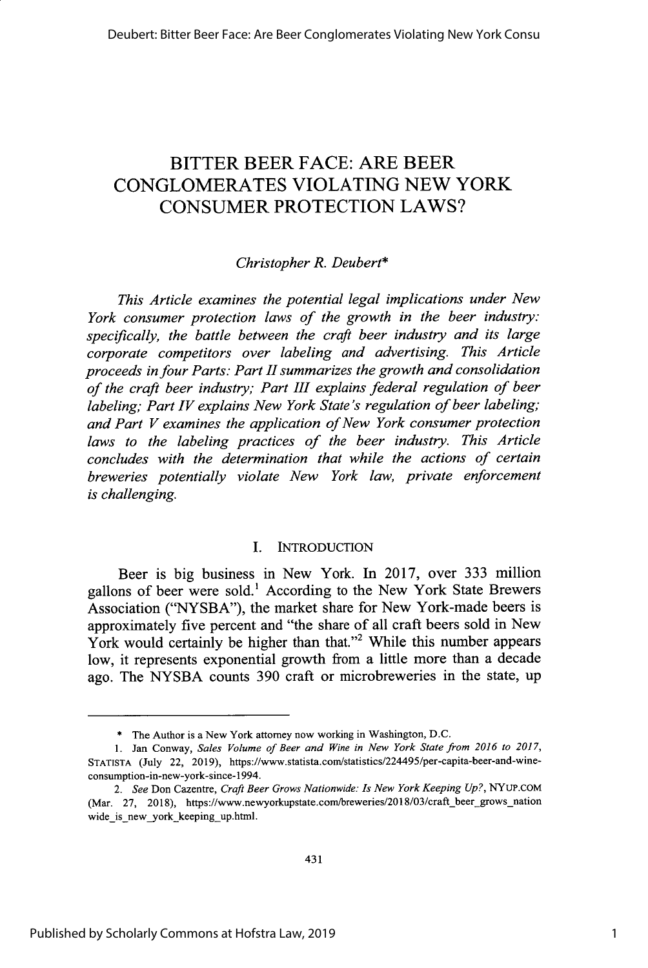# BITTER BEER **FACE:** ARE BEER **CONGLOMERATES** VIOLATING **NEW** YORK **CONSUMER** PROTECTION LAWS?

# *Christopher R. Deubert\**

*This Article examines the potential legal implications under New York consumer protection laws of the growth in the beer industry: specifically, the battle between the craft beer industry and its large corporate competitors over labeling and advertising. This Article proceeds in four Parts: Part II summarizes the growth and consolidation of the craft beer industry; Part III explains federal regulation of beer labeling; Part IV explains New York State's regulation of beer labeling; and Part V examines the application of New York consumer protection laws to the labeling practices of the beer industry. This Article concludes with the determination that while the actions of certain breweries potentially violate New York law, private enforcement is challenging.*

#### I. INTRODUCTION

Beer is big business in New York. In **2017,** over **333** million gallons of beer were sold.' According to the New York State Brewers Association **("NYSBA"),** the market share for New York-made beers is approximately five percent and "the share of all craft beers sold in New York would certainly be higher than that."<sup>2</sup> While this number appears low, it represents exponential growth from a little more than a decade ago. The **NYSBA** counts **390** craft or microbreweries in the state, up

**<sup>\*</sup>** The Author is a New York attorney now working in Washington, **D.C.**

**<sup>1.</sup>** Jan Conway, *Sales Volume of Beer and Wine in New York State from 2016 to 2017,* **STATISTA** (July 22, **2019),** https://www.statista.com/statistics/224495/per-capita-beer-and-wineconsumption-in-new-york-since-1994.

*<sup>2.</sup> See* Don Cazentre, *Craft Beer Grows Nationwide: Is New York Keeping Up?,* **NYUP.COM** (Mar. 27, 2018), https://www.newyorkupstate.com/breweries/2018/03/craft\_beer\_grows\_nation wide is new york keeping up.html.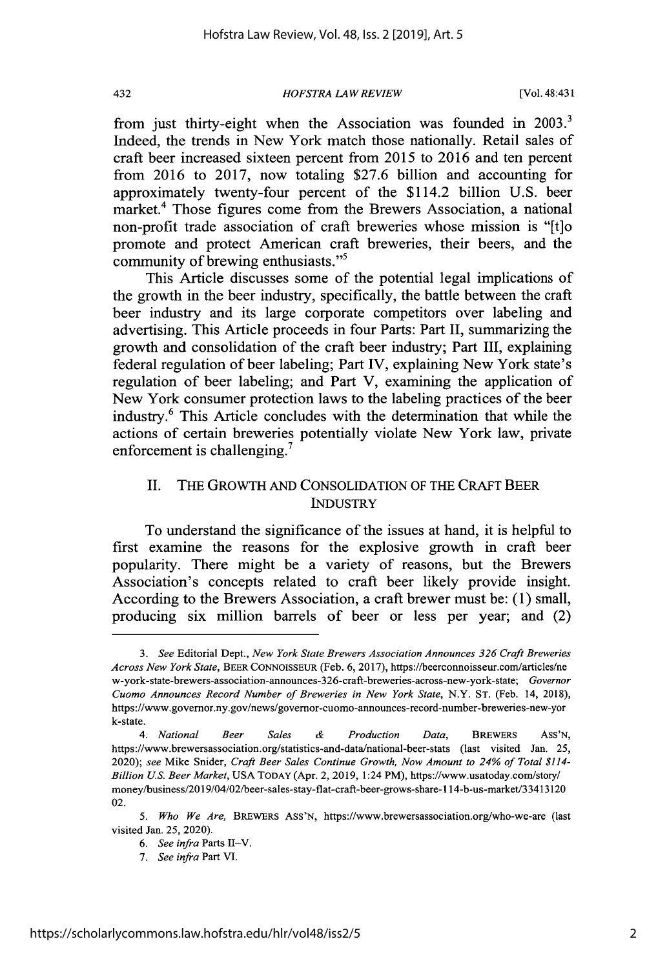*HOFSTRA LAW REVIEW* 432 [Vol. 48:431

from just thirty-eight when the Association was founded in **2003.** Indeed, the trends in New York match those nationally. Retail sales of craft beer increased sixteen percent from **2015** to **2016** and ten percent from **2016** to **2017,** now totaling **\$27.6** billion and accounting for approximately twenty-four percent of the \$114.2 billion **U.S.** beer market.<sup>4</sup> Those figures come from the Brewers Association, a national non-profit trade association of craft breweries whose mission is "[t]o promote and protect American craft breweries, their beers, and the community of brewing enthusiasts."'

This Article discusses some of the potential legal implications of the growth in the beer industry, specifically, the battle between the craft beer industry and its large corporate competitors over labeling and advertising. This Article proceeds in four Parts: Part II, summarizing the growth and consolidation of the craft beer industry; Part III, explaining federal regulation of beer labeling; Part IV, explaining New York state's regulation of beer labeling; and Part V, examining the application of New York consumer protection laws to the labeling practices of the beer industry.<sup>6</sup> This Article concludes with the determination that while the actions of certain breweries potentially violate New York law, private enforcement is challenging.<sup>7</sup>

# **II.** THE GROWTH **AND CONSOLIDATION** OF THE CRAFT BEER **INDUSTRY**

To understand the significance of the issues at hand, it is helpful to first examine the reasons for the explosive growth in craft beer popularity. There might be a variety of reasons, but the Brewers Association's concepts related to craft beer likely provide insight. According to the Brewers Association, a craft brewer must be: **(1)** small, producing six million barrels of beer or less per year; and (2)

*<sup>3.</sup> See* Editorial Dept., *New York State Brewers Association Announces 326 Craft Breweries Across New York State,* BEER **CONNOISSEUR** (Feb. **6, 2017),** https://beerconnoisseur.com/articles/ne w-york-state-brewers-association-announces-326-craft-breweries-across-new-york-state; *Governor Cuomo Announces Record Number of Breweries in New York State,* N.Y. **ST.** (Feb. 14, **2018),** https://www.governor.ny.gov/news/governor-cuomo-announces-record-number-breweries-new-yor k-state.

*<sup>4.</sup> National Beer Sales & Production Data,* **BREWERS** Ass'N, https://www.brewersassociation.org/statistics-and-data/national-beer-stats (last visited Jan. **25,** *2020); see* Mike Snider, *Craft Beer Sales Continue Growth, Now Amount to 24% of Total \$114- Billion US. Beer Market,* **USA** TODAY (Apr. 2, **2019,** 1:24 PM), https://www.usatoday.com/story/ money/business/2019/04/02/beer-sales-stay-flat-craft-beer-grows-share-114-b-us-market/33413120 02.

*<sup>5.</sup> Who We Are,* BREWERS **ASS'N,** https://www.brewersassociation.org/who-we-are (last visited Jan. *25,* 2020).

**<sup>6.</sup>** See infra Parts II-V.

*<sup>7.</sup> See infra* Part VI.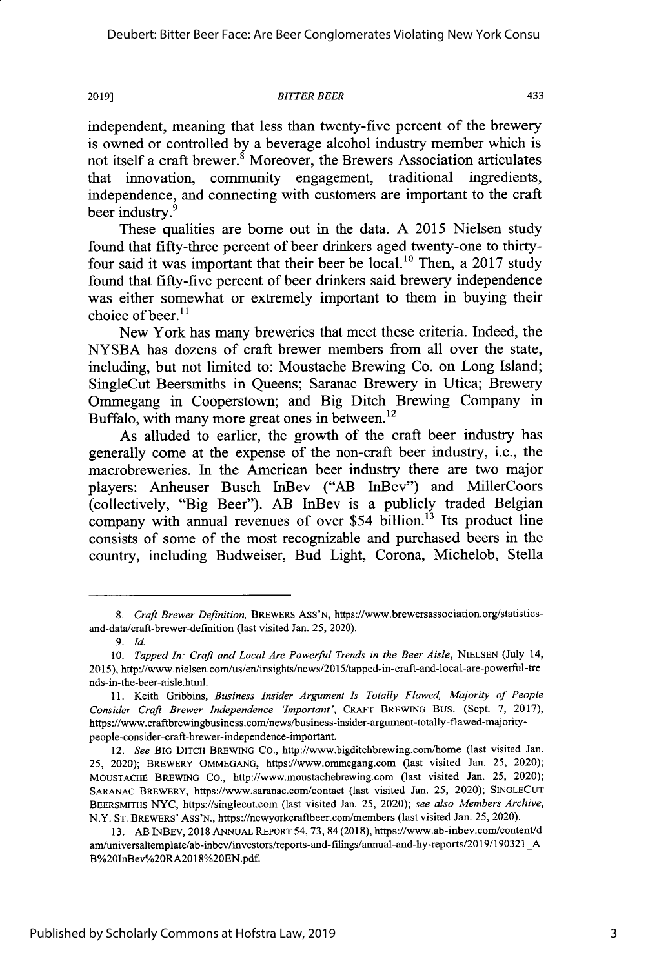#### **2019]1** *BITTER BEER* 433

independent, meaning that less than twenty-five percent of the brewery is owned or controlled **by** a beverage alcohol industry member which is not itself a craft brewer. $\stackrel{8}{\ }$  Moreover, the Brewers Association articulates that innovation, community engagement, traditional ingredients, independence, and connecting with customers are important to the craft beer industry.<sup>9</sup>

These qualities are borne out in the data. **A 2015** Nielsen study found that fifty-three percent of beer drinkers aged twenty-one to thirtyfour said it was important that their beer be local.10 Then, a **2017** study found that fifty-five percent of beer drinkers said brewery independence was either somewhat or extremely important to them in buying their choice of beer. $11$ 

New York has many breweries that meet these criteria. Indeed, the **NYSBA** has dozens of craft brewer members from all over the state, including, but not limited to: Moustache Brewing Co. on Long Island; SingleCut Beersmiths in Queens; Saranac Brewery in Utica; Brewery Ommegang in Cooperstown; and Big Ditch Brewing Company in Buffalo, with many more great ones in between.<sup>12</sup>

As alluded to earlier, the growth of the craft beer industry has generally come at the expense of the non-craft beer industry, i.e., the macrobreweries. In the American beer industry there are two major players: Anheuser Busch InBev ("AB InBev") and MillerCoors (collectively, "Big Beer"). AB InBev is a publicly traded Belgian company with annual revenues of over \$54 billion.<sup>13</sup> Its product line consists of some of the most recognizable and purchased beers in the country, including Budweiser, Bud Light, Corona, Michelob, Stella

*<sup>8.</sup> Craft Brewer Definition,* BREWERSASS'N, https://www.brewersassociation.org/statisticsand-data/craft-brewer-definition (last visited Jan. *25,* 2020).

*<sup>9.</sup> Id*

<sup>10.</sup> *Tapped In: Craft and Local Are Powerful Trends in the Beer Aisle, NIELSEN (July 14,* **2015),** http://www.nielsen.com/us/en/insights/news/2015/tapped-in-craft-and-local-are-powerful-tre nds-in-the-beer-aisle.html.

**<sup>11.</sup>** Keith Gribbins, *Business Insider Argument Is Totally Flawed, Majority of People Consider Craft Brewer Independence 'Important',* **CRAFT** BREWING BUS. (Sept. **7, 2017),** https://www.craftbrewingbusiness.com/news/business-insider-argument-totally-flawed-majoritypeople-consider-craft-brewer-independence-important.

*<sup>12.</sup> See* **BIG DITCH** BREWING Co., http://www.bigditchbrewing.com/home (last visited Jan. *25,* 2020); BREWERY **OMMEGANG,** https://www.ommegang.com (last visited Jan. **25,** 2020); MOUSTACHE BREWING **Co.,** http://www.moustachebrewing.com (last visited Jan. **25,** 2020); **SARANAC** BREWERY, https://www.saranac.com/contact (last visited Jan. **25,** 2020); **SINGLECUT BEERSMITHS NYC,** https://singlecut.com (last visited Jan. **25,** 2020); *see also Members Archive,* N.Y. **ST.** BREWERS' Ass'N., https://newyorkcraftbeer.com/members (last visited Jan. **25,** 2020).

**<sup>13.</sup>** AB INBEV, **2018 ANNUAL** REPORT 54,73,84 **(2018),** https://www.ab-inbev.com/content/d am/universaltemplate/ab-inbev/investors/reports-and-filings/annual-and-hy-reports/2019/190321\_/ B%20InBev%20RA2018%20EN.pdf.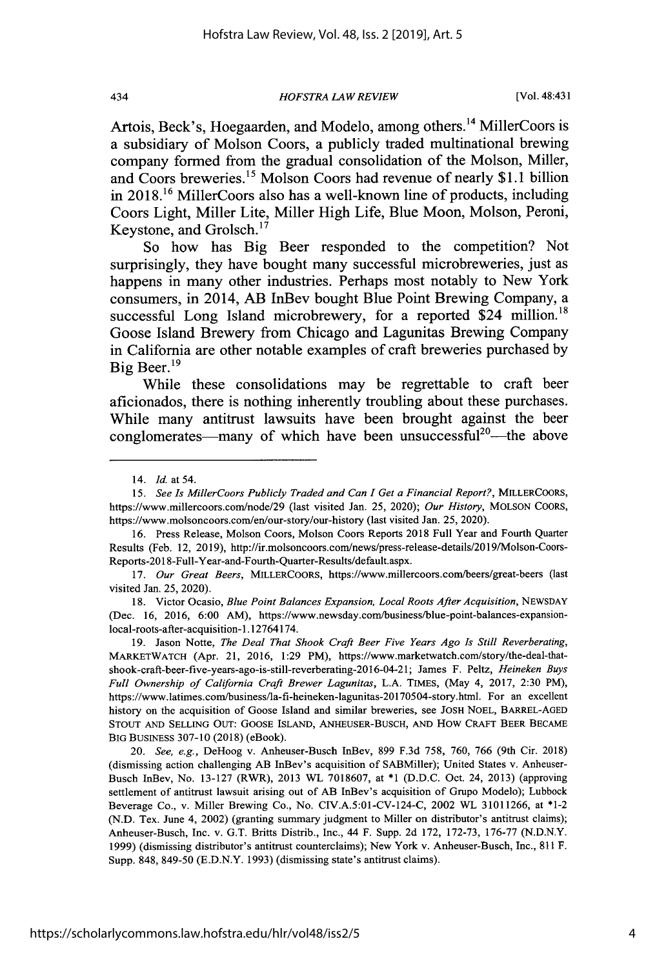434 *HOFSTRA IAW REVIEW* [Vol. 48:431

Artois, Beck's, Hoegaarden, and Modelo, among others.<sup>14</sup> MillerCoors is a subsidiary of Molson Coors, a publicly traded multinational brewing company formed from the gradual consolidation of the Molson, Miller, and Coors breweries." Molson Coors had revenue of nearly **\$1.1** billion in **2018.16** MillerCoors also has a well-known line of products, including Coors Light, Miller Lite, Miller High Life, Blue Moon, Molson, Peroni, Keystone, and Grolsch.1<sup>7</sup>

So how has Big Beer responded to the competition? Not surprisingly, they have bought many successful microbreweries, just as happens in many other industries. Perhaps most notably to New York consumers, in 2014, AB InBev bought Blue Point Brewing Company, a successful Long Island microbrewery, for a reported \$24 million.<sup>18</sup> Goose Island Brewery from Chicago and Lagunitas Brewing Company in California are other notable examples of craft breweries purchased **by** Big Beer.<sup>19</sup>

While these consolidations may be regrettable to craft beer aficionados, there is nothing inherently troubling about these purchases. While many antitrust lawsuits have been brought against the beer conglomerates—many of which have been unsuccessful<sup>20</sup>—the above

**16.** Press Release, Molson Coors, Molson Coors Reports **2018** Full Year and Fourth Quarter Results (Feb. 12, **2019),** http://ir.molsoncoors.com/news/press-release-details/2019/Molson-Coors-Reports-2018-Full-Year-and-Fourth-Quarter-Results/default.aspx.

*17. Our Great Beers,* MILLERCOORS, https://www.millercoors.com/beers/great-beers (last visited Jan. **25,** 2020).

**18.** Victor Ocasio, *Blue Point Balances Expansion, Local Roots After Acquisition,* **NEWSDAY** (Dec. **16, 2016, 6:00** AM), https://www.newsday.com/businessfblue-point-balances-expansionlocal-roots-after-acquisition-1.12764174.

**19.** Jason Notte, *The Deal That Shook Craft Beer Five Years Ago Is Still Reverberating,* MARKETWATCH (Apr. 21, **2016, 1:29** PM), https://www.marketwatch.com/story/the-deal-thatshook-craft-beer-five-years-ago-is-still-reverberating-2016-04-21; James F. Peltz, *Heineken Buys Full Ownership of California Craft Brewer Lagunitas,* **L.A. TIMES,** (May 4, **2017, 2:30** PM), https://www.latimes.com/business/la-fi-heineken-lagunitas-20170504-story.html. For an excellent history on the acquisition of Goose Island and similar breweries, see **JOSH NOEL,** BARREL-AGED **STOUT AND SELLING** OUT: GOOSE ISLAND, ANHEUSER-BUSCH, **AND** How CRAFT BEER **BECAME** BIG BUSINESS **307-10 (2018)** (eBook).

*20. See, e.g.,* DeHoog v. Anheuser-Busch InBev, **899 F.3d 758, 760, 766** (9th Cir. **2018)** (dismissing action challenging AB InBev's acquisition of SABMiller); United States v. Anheuser-Busch InBev, No. **13-127** (RWR), **2013** WL **7018607,** at **\*1 (D.D.C.** Oct. 24, **2013)** (approving settlement of antitrust lawsuit arising out of AB InBev's acquisition of Grupo Modelo); Lubbock Beverage Co., v. Miller Brewing Co., No. **CIV.A.5:01-CV-124-C,** 2002 WL **31011266,** at \*1-2 **(N.D.** Tex. June 4, 2002) (granting summary judgment to Miller on distributor's antitrust claims); Anheuser-Busch, Inc. v. **G.T.** Britts Distrib., Inc., 44 F. Supp. **2d 172, 172-73, 176-77 (N.D.N.Y. 1999)** (dismissing distributor's antitrust counterclaims); New York v. Anheuser-Busch, Inc., **811** F. Supp. **848, 849-50 (E.D.N.Y. 1993)** (dismissing state's antitrust claims).

<sup>14.</sup> *Id. at 54.*

*<sup>15.</sup> See Is MillerCoors Publicly Traded and Can I Get a Financial Report?,* MLLERCOORS, https://www.millercoors.com/node/29 (last visited Jan. **25,** 2020); *Our History,* **MOLSON COORS,** https://www.molsoncoors.com/en/our-story/our-history (last visited Jan. *25,* 2020).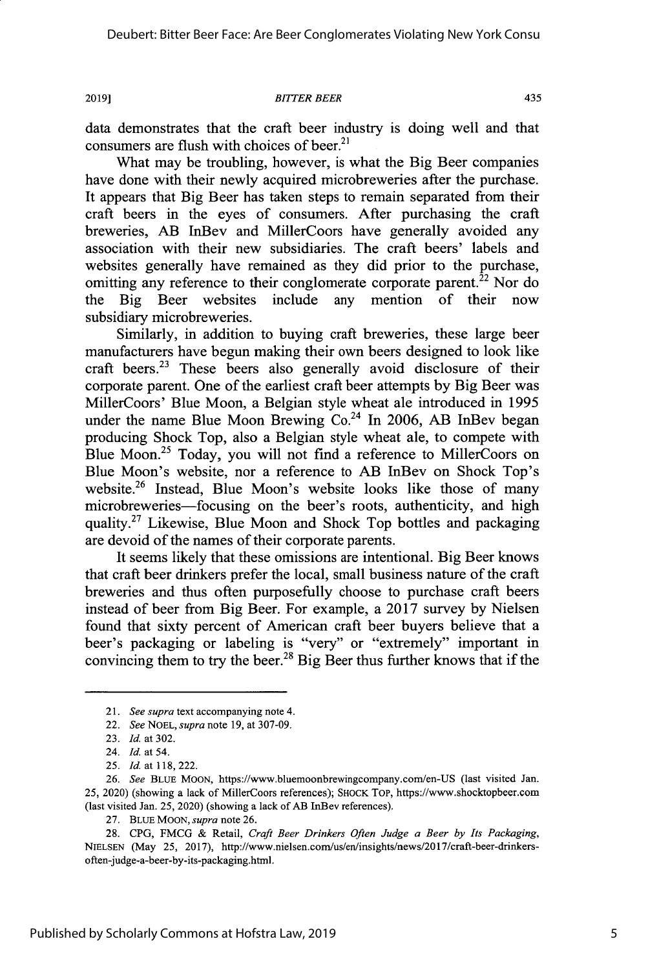#### **2019]** *BITTER BEER* 435

data demonstrates that the craft beer industry is doing well and that consumers are flush with choices of beer. $21$ 

What may be troubling, however, is what the Big Beer companies have done with their newly acquired microbreweries after the purchase. It appears that Big Beer has taken steps to remain separated from their craft beers in the eyes of consumers. After purchasing the craft breweries, AB InBev and MillerCoors have generally avoided any association with their new subsidiaries. The craft beers' labels and websites generally have remained as they did prior to the purchase, omitting any reference to their conglomerate corporate parent.<sup>22</sup> Nor do the Big Beer websites include any mention of their now subsidiary microbreweries.

Similarly, in addition to buying craft breweries, these large beer manufacturers have begun making their own beers designed to look like craft beers.<sup>23</sup> These beers also generally avoid disclosure of their corporate parent. One of the earliest craft beer attempts **by** Big Beer was MillerCoors' Blue Moon, a Belgian style wheat ale introduced in **1995** under the name Blue Moon Brewing Co.<sup>24</sup> In 2006, AB InBev began producing Shock Top, also a Belgian style wheat ale, to compete with Blue Moon.<sup>25</sup> Today, you will not find a reference to MillerCoors on Blue Moon's website, nor a reference to AB InBev on Shock Top's website.<sup>26</sup> Instead, Blue Moon's website looks like those of many microbreweries—focusing on the beer's roots, authenticity, and high quality.<sup>27</sup> Likewise, Blue Moon and Shock Top bottles and packaging are devoid of the names of their corporate parents.

It seems likely that these omissions are intentional. Big Beer knows that craft beer drinkers prefer the local, small business nature of the craft breweries and thus often purposefully choose to purchase craft beers instead of beer from Big Beer. For example, a **2017** survey **by** Nielsen found that sixty percent of American craft beer buyers believe that a beer's packaging or labeling is "very" or "extremely" important in convincing them to try the beer.<sup>28</sup> Big Beer thus further knows that if the

<sup>21.</sup> *See supra* text accompanying note 4.

<sup>22.</sup> *See NOEL, supra* note **19,** at **307-09.**

**<sup>23.</sup>** *Id at* **302.**

<sup>24.</sup> *Id. at 54.*

*<sup>25.</sup> Id* at **118,** 222.

**<sup>26.</sup>** *See* BLUE **MOON,** https://www.bluemoonbrewingcompany.com/en-US (last visited Jan. **25,** 2020) (showing a lack of MillerCoors references); SHOCK Top, https://www.shocktopbcer.com (last visited Jan. **25,** 2020) (showing a lack of AB InBev references).

**<sup>27.</sup> BLUE MOON,** *supra* note **26.**

**<sup>28.</sup> CPG, FMCG &** Retail, *Craft Beer Drinkers Often Judge a Beer by Its Packaging,* NIELSEN (May **25, 2017),** http://www.nielsen.com/us/en/insights/news/2017/craft-beer-drinkersoften-judge-a-beer-by-its-packaging.html.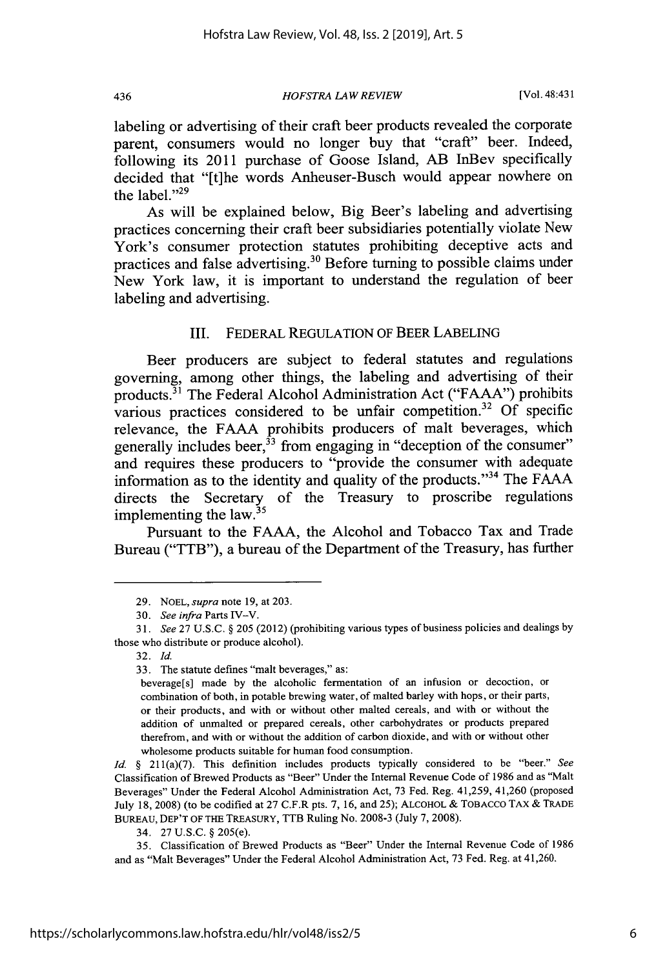436 *HOFSTRA LAW REVIEW* [Vol. 48:431

labeling or advertising of their craft beer products revealed the corporate parent, consumers would no longer buy that "craft" beer. Indeed, following its 2011 purchase of Goose Island, AB InBev specifically decided that "[t]he words Anheuser-Busch would appear nowhere on the label."<sup>29</sup>

As will be explained below, Big Beer's labeling and advertising practices concerning their craft beer subsidiaries potentially violate New York's consumer protection statutes prohibiting deceptive acts and practices and false advertising.<sup>30</sup> Before turning to possible claims under New York law, it is important to understand the regulation of beer labeling and advertising.

# III. FEDERAL **REGULATION** OF BEER **LABELING**

Beer producers are subject to federal statutes and regulations governing, among other things, the labeling and advertising of their products.<sup>31</sup> The Federal Alcohol Administration Act ("FAAA") prohibits various practices considered to be unfair competition.<sup>32</sup> Of specific relevance, the **FAAA** prohibits producers of malt beverages, which generally includes beer,  $33$  from engaging in "deception of the consumer" and requires these producers to "provide the consumer with adequate information as to the identity and quality of the products."<sup>34</sup> The FAAA directs the Secretary of the Treasury to proscribe regulations implementing the law.

Pursuant to the **FAAA,** the Alcohol and Tobacco Tax and Trade Bureau ("TTB"), a bureau of the Department of the Treasury, has further

**<sup>29.</sup> NOEL,** *supra* note **19,** at **203.**

*<sup>30.</sup> See infra* Parts IV-V.

*<sup>31.</sup> See* **27 U.S.C. §205** (2012) (prohibiting various types of business policies and dealings **by** those who distribute or produce alcohol).

**<sup>3</sup>** 2. *Id.*

**<sup>33.</sup>** The statute defines "malt beverages," as:

beverage[s] made **by** the alcoholic fermentation of an infusion or decoction, or combination of both, in potable brewing water, of malted barley with hops, or their parts, or their products, and with or without other malted cereals, and with or without the addition of unmalted or prepared cereals, other carbohydrates or products prepared therefrom, and with or without the addition of carbon dioxide, and with or without other wholesome products suitable for human food consumption.

*Id.* **§** 211(a)(7). This definition includes products typically considered to be "beer." *See* Classification of Brewed Products as "Beer" Under the Internal Revenue Code of **1986** and as "Malt Beverages" Under the Federal Alcohol Administration Act, **73** Fed. Reg. 41,259, 41,260 (proposed July **18, 2008)** (to be codified at **27** C.F.R pts. **7, 16,** and **25); ALCOHOL &** TOBACCO TAX **& TRADE** BUREAU, DEP'T OF THE TREASURY, TTB Ruling No. **2008-3** (July **7, 2008).**

<sup>34.</sup> **27 U.S.C. §** *205(e).*

*<sup>35.</sup>* Classification of Brewed Products as "Beer" Under the Internal Revenue Code of **1986** and as "Malt Beverages" Under the Federal Alcohol Administration Act, **73** Fed. Reg. at 41,260.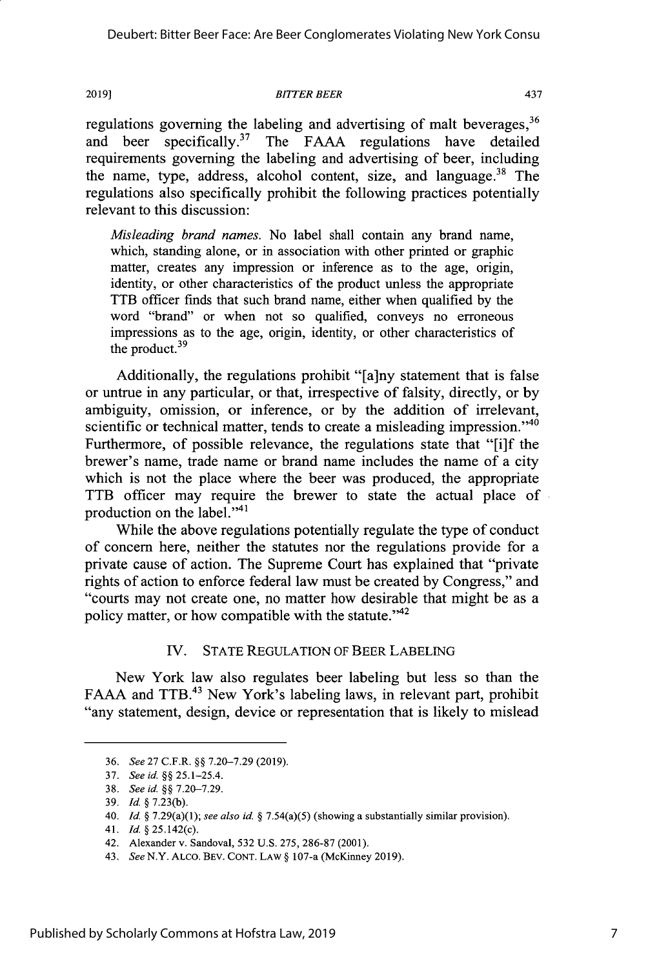#### **2019]** *BTITER BEER* 437

regulations governing the labeling and advertising of malt beverages.<sup>36</sup> and beer specifically.<sup>37</sup> The **FAAA** regulations have detailed requirements governing the labeling and advertising of beer, including the name, type, address, alcohol content, size, and language. $38$  The regulations also specifically prohibit the following practices potentially relevant to this discussion:

*Misleading brand names.* No label shall contain any brand name, which, standing alone, or in association with other printed or graphic matter, creates any impression or inference as to the age, origin, identity, or other characteristics of the product unless the appropriate TTB officer finds that such brand name, either when qualified **by** the word "brand" or when not so qualified, conveys no erroneous impressions as to the age, origin, identity, or other characteristics of the product. <sup>39</sup>

Additionally, the regulations prohibit "[a]ny statement that is false or untrue in any particular, or that, irrespective of falsity, directly, or **by** ambiguity, omission, or inference, or **by** the addition of irrelevant, scientific or technical matter, tends to create a misleading impression."<sup>40</sup> Furthermore, of possible relevance, the regulations state that "[i]f the brewer's name, trade name or brand name includes the name of a city which is not the place where the beer was produced, the appropriate TTB officer may require the brewer to state the actual place of production on the label." $41$ 

While the above regulations potentially regulate the type of conduct of concern here, neither the statutes nor the regulations provide for a private cause of action. The Supreme Court has explained that "private rights of action to enforce federal law must be created **by** Congress," and "courts may not create one, no matter how desirable that might be as a policy matter, or how compatible with the statute."<sup>42</sup>

# IV. **STATE REGULATION** OF BEER **LABELING**

New York law also regulates beer labeling but less so than the FAAA and TTB.<sup>43</sup> New York's labeling laws, in relevant part, prohibit "any statement, design, device or representation that is likely to mislead

7

**<sup>36.</sup>** *See* **27** C.F.R. **§§ 7.20-7.29 (2019).**

**<sup>37.</sup>** *See id.* **§** 25.1-25.4.

**<sup>38.</sup>** *See id.§§* **7.20-7.29.**

**<sup>39.</sup>** *Id.* **§7.23(b).**

<sup>40.</sup> *Id.* §7.29(a)(1); *see also id.* **§** *7.54(a)(5)* (showing a substantially similar provision).

**<sup>41.</sup>** *Id.* §25.142(c).

<sup>42.</sup> Alexander v. Sandoval, **532 U.S.** *275,* **286-87** (2001).

<sup>43.</sup> *See* N.Y. **ALCO.** BEV. **CONT. LAW §** 107-a (McKinney **2019).**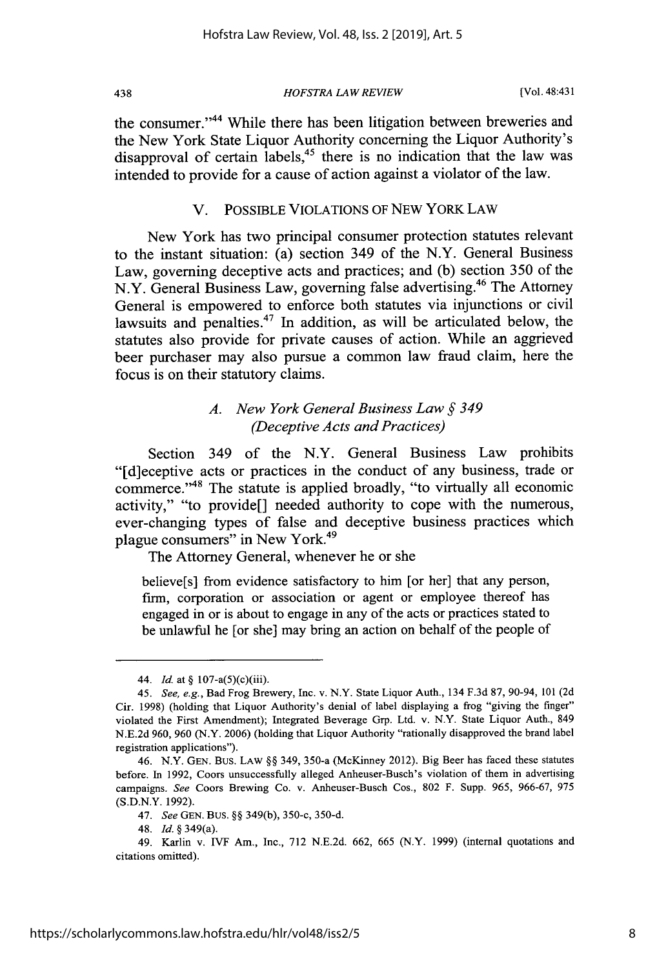438 *HOFSTRA LAW REVIEW* [Vol. 48:431

the consumer."44 While there has been litigation between breweries and the New York State Liquor Authority concerning the Liquor Authority's disapproval of certain labels,<sup>45</sup> there is no indication that the law was intended to provide for a cause of action against a violator of the law.

#### V. **POSSIBLE VIOLATIONS** OF **NEW** YORK LAW

New York has two principal consumer protection statutes relevant to the instant situation: (a) section 349 of the N.Y. General Business Law, governing deceptive acts and practices; and **(b)** section **350** of the N.Y. General Business Law, governing false advertising.<sup>46</sup> The Attorney General is empowered to enforce both statutes via injunctions or civil lawsuits and penalties. $47$  In addition, as will be articulated below, the statutes also provide for private causes of action. While an aggrieved beer purchaser may also pursue a common law fraud claim, here the focus is on their statutory claims.

# *A. New York General Business Law* **§** *349 (Deceptive Acts and Practices)*

Section 349 of the N.Y. General Business Law prohibits "[d]eceptive acts or practices in the conduct of any business, trade or commerce."<sup>48</sup> The statute is applied broadly, "to virtually all economic activity," "to provide[] needed authority to cope with the numerous, ever-changing types of false and deceptive business practices which plague consumers" in New York.<sup>49</sup>

The Attorney General, whenever he or she

believe[s] from evidence satisfactory to him [or her] that any person, firm, corporation or association or agent or employee thereof has engaged in or is about to engage in any of the acts or practices stated to be unlawful he [or she] may bring an action on behalf of the people of

<sup>44.</sup> *Id.* at **§** 107-a(5)(c)(iii).

*<sup>45.</sup> See, e.g.,* Bad Frog Brewery, Inc. v. N.Y. State Liquor Auth., 134 **F.3d 87,** 90-94, **101 (2d** Cir. **1998)** (holding that Liquor Authority's denial of label displaying a frog "giving the finger" violated the First Amendment); Integrated Beverage Grp. Ltd. v. N.Y. State Liquor Auth., 849 **N.E.2d 960, 960** (N.Y. **2006)** (holding that Liquor Authority "rationally disapproved the brand label registration applications").

<sup>46.</sup> N.Y. **GEN.** Bus. LAW **§§** 349, 350-a (McKinney 2012). Big Beer has faced these statutes before. In **1992,** Coors unsuccessfully alleged Anheuser-Busch's violation of them in advertising campaigns. *See* Coors Brewing Co. v. Anheuser-Busch Cos., **802** F. Supp. **965, 966-67, 975 (S.D.N.Y. 1992).**

<sup>47.</sup> SeeGEN.BUS.§§349(b),350-c,350-d.

<sup>48.</sup> *Id.* **§** 349(a).

<sup>49.</sup> Karlin v. IVF Am., Inc., **712 N.E.2d. 662, 665** (N.Y. **1999)** (internal quotations and citations omitted).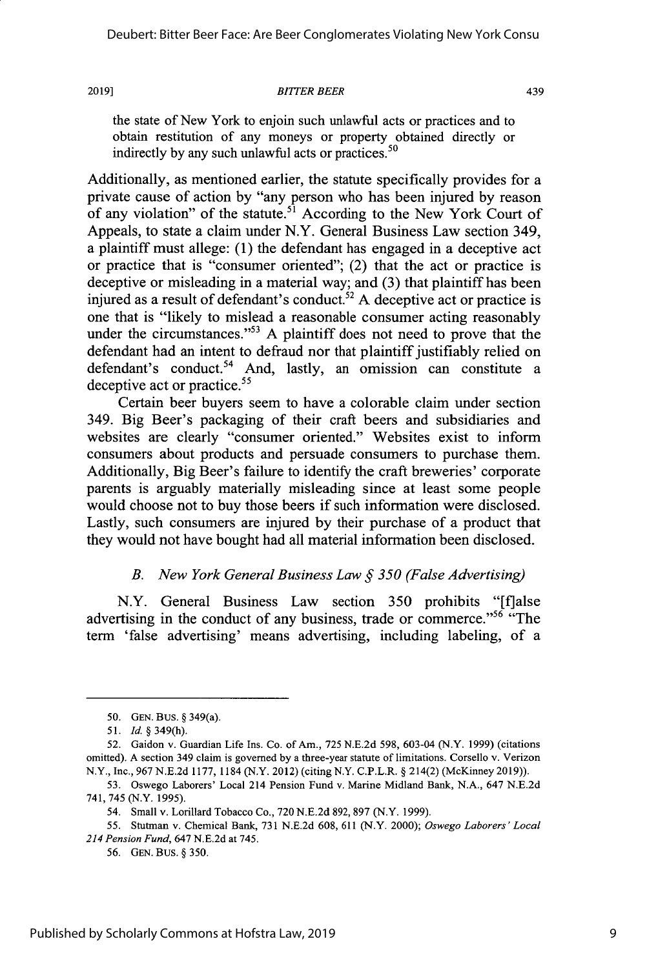#### **2019]** *BlITER BEER* 439

the state of New York to enjoin such unlawful acts or practices and to obtain restitution of any moneys or property obtained directly or indirectly **by** any such unlawful acts or practices. <sup>50</sup>

Additionally, as mentioned earlier, the statute specifically provides for a private cause of action **by** "any person who has been injured **by** reason of any violation" of the statute.<sup>51</sup> According to the New York Court of Appeals, to state a claim under N.Y. General Business Law section 349, a plaintiff must allege: **(1)** the defendant has engaged in a deceptive act or practice that is "consumer oriented"; (2) that the act or practice is deceptive or misleading in a material way; and **(3)** that plaintiff has been injured as a result of defendant's conduct. <sup>52</sup>**A** deceptive act or practice is one that is "likely to mislead a reasonable consumer acting reasonably under the circumstances."<sup>53</sup> A plaintiff does not need to prove that the defendant had an intent to defraud nor that plaintiff justifiably relied on defendant's conduct.<sup>54</sup> And, lastly, an omission can constitute a deceptive act or practice.<sup>55</sup>

Certain beer buyers seem to have a colorable claim under section 349. Big Beer's packaging of their craft beers and subsidiaries and websites are clearly "consumer oriented." Websites exist to inform consumers about products and persuade consumers to purchase them. Additionally, Big Beer's failure to identify the craft breweries' corporate parents is arguably materially misleading since at least some people would choose not to buy those beers if such information were disclosed. Lastly, such consumers are injured **by** their purchase of a product that they would not have bought had all material information been disclosed.

# *B. New York General Business Law* **§** *350 (False Advertising)*

N.Y. General Business Law section *350* prohibits "[f]alse advertising in the conduct of any business, trade or commerce."<sup>56</sup> "The term 'false advertising' means advertising, including labeling, of a

**<sup>50.</sup> GEN. BUS. §** 349(a).

*<sup>51.</sup> Id.* §349(h).

*<sup>52.</sup>* Gaidon v. Guardian Life Ins. Co. of Am., **725 N.E.2d 598,** 603-04 (N.Y. **1999)** (citations omitted). **A** section 349 claim is governed **by** a three-year statute of limitations. Corsello v. Verizon N.Y., Inc., **967 N.E.2d 1177,1184** (N.Y. 2012) (citing N.Y. C.P.L.R. **§** 214(2) (McKinney **2019)).**

**<sup>53.</sup>** Oswego Laborers' Local 214 Pension Fund v. Marine Midland Bank, **N.A.,** 647 **N.E.2d** 741, 745 *(N.Y.* **1995).**

<sup>54.</sup> Small v. Lorillard Tobacco Co., **720 N.E.2d 892, 897** (N.Y. **1999).**

*<sup>55.</sup>* Stutman v. Chemical Bank, **731 N.E.2d 608, 611** (N.Y. 2000); *Oswego Laborers' Local 214 Pension Fund,* 647 **N.E.2d** at 745.

**<sup>56.</sup> GEN.** Bus. **§ 350.**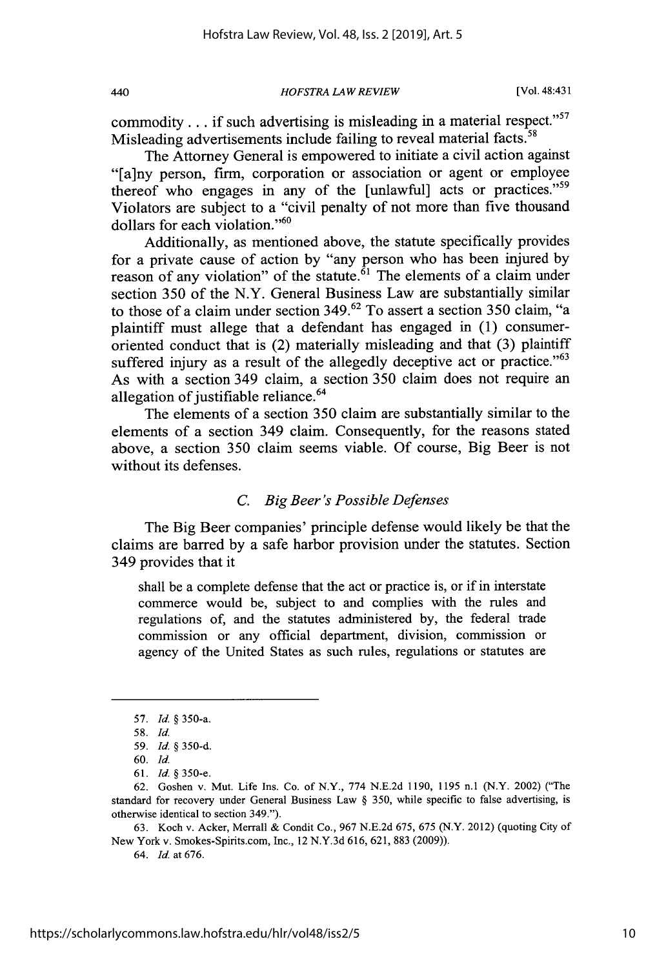440 *HOFSTRA IAW REVIEW* [Vol. 48:431

commodity . . . if such advertising is misleading in a material respect."<sup>57</sup> Misleading advertisements include failing to reveal material facts.<sup>58</sup>

The Attorney General is empowered to initiate a civil action against "[a]ny person, firm, corporation or association or agent or employee thereof who engages in any of the [unlawful] acts or practices."<sup>59</sup> Violators are subject to a "civil penalty of not more than five thousand dollars for each violation."<sup>60</sup>

Additionally, as mentioned above, the statute specifically provides for a private cause of action **by** "any person who has been injured **by** reason of any violation" of the statute. $61$  The elements of a claim under section *350* of the N.Y. General Business Law are substantially similar to those of a claim under section **349.62** To assert a section **350** claim, "a plaintiff must allege that a defendant has engaged in **(1)** consumeroriented conduct that is (2) materially misleading and that **(3)** plaintiff suffered injury as a result of the allegedly deceptive act or practice." $63$ As with a section 349 claim, a section *350* claim does not require an allegation of justifiable reliance.<sup>64</sup>

The elements of a section **350** claim are substantially similar to the elements of a section 349 claim. Consequently, for the reasons stated above, a section **350** claim seems viable. **Of** course, Big Beer is not without its defenses.

#### *C. Big Beer's Possible Defenses*

The Big Beer companies' principle defense would likely be that the claims are barred **by** a safe harbor provision under the statutes. Section 349 provides that it

shall be a complete defense that the act or practice is, or if in interstate commerce would be, subject to and complies with the rules and regulations of, and the statutes administered **by,** the federal trade commission or any official department, division, commission or agency of the United States as such rules, regulations or statutes are

**63.** Koch v. Acker, Merrall **&** Condit Co., **967 N.E.2d** *675, 675* (N.Y. 2012) (quoting City of New York v. Smokes-Spirits.com, Inc., 12 **N.Y.3d 616, 621, 883 (2009)).**

64. *Id* at **676.**

**<sup>57.</sup>** *Id §* 350-a.

*<sup>58.</sup> Id.*

*<sup>59.</sup> Id §* **350-d.**

**<sup>60.</sup>** *Id*

**<sup>61.</sup>** *Id § 350-e.*

**<sup>62.</sup>** Goshen v. Mut. Life Ins. Co. of N.Y., **774 N.E.2d 1190, 1195** n.1 (N.Y. 2002) ("The standard for recovery under General Business Law **§ 350,** while specific to false advertising, is otherwise identical to section 349.").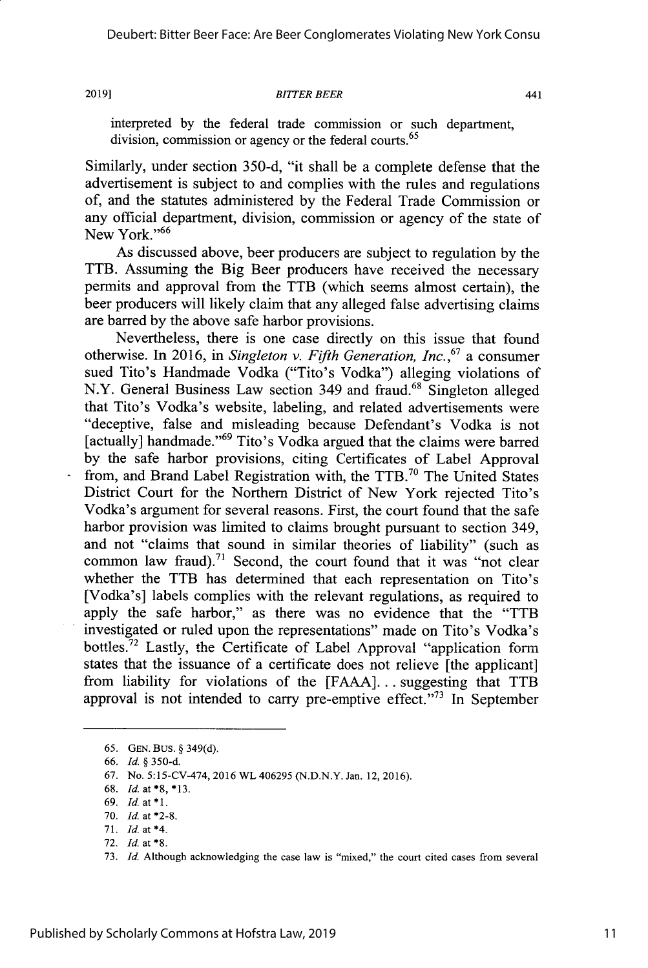#### **2019]1** *BITTER BEER* 441

interpreted **by** the federal trade commission or such department, division, commission or agency or the federal courts.<sup>65</sup>

Similarly, under section **350-d,** "it shall be a complete defense that the advertisement is subject to and complies with the rules and regulations of, and the statutes administered **by** the Federal Trade Commission or any official department, division, commission or agency of the state of New York."<sup>66</sup>

As discussed above, beer producers are subject to regulation **by** the TTB. Assuming the Big Beer producers have received the necessary permits and approval from the TTB (which seems almost certain), the beer producers will likely claim that any alleged false advertising claims are barred **by** the above safe harbor provisions.

Nevertheless, there is one case directly on this issue that found otherwise. In **2016,** in *Singleton v. Fifth Generation, Inc.,67* a consumer sued Tito's Handmade Vodka ("Tito's Vodka") alleging violations of N.Y. General Business Law section 349 and fraud.<sup>68</sup> Singleton alleged that Tito's Vodka's website, labeling, and related advertisements were "deceptive, false and misleading because Defendant's Vodka is not [actually] handmade."<sup>69</sup> Tito's Vodka argued that the claims were barred **by** the safe harbor provisions, citing Certificates of Label Approval from, and Brand Label Registration with, the TTB.<sup>70</sup> The United States District Court for the Northern District of New York rejected Tito's Vodka's argument for several reasons. First, the court found that the safe harbor provision was limited to claims brought pursuant to section 349, and not "claims that sound in similar theories of liability" (such as common law fraud).<sup>71</sup> Second, the court found that it was "not clear whether the TTB has determined that each representation on Tito's [Vodka's] labels complies with the relevant regulations, as required to apply the safe harbor," as there was no evidence that the "TTB investigated or ruled upon the representations" made on Tito's Vodka's bottles.<sup>72</sup> Lastly, the Certificate of Label Approval "application form states that the issuance of a certificate does not relieve [the applicant] from liability for violations of the **[FAAA]...** suggesting that TTB approval is not intended to carry pre-emptive effect."<sup>73</sup> In September

*<sup>65.</sup>* **GEN.** Bus. **§ 349(d).**

*<sup>66.</sup> Id. §* **350-d.**

**<sup>67.</sup>** No. 5:15-CV-474, **2016** WL 406295 **(N.D.N.Y.** Jan. 12, **2016).**

**<sup>68.</sup>** *Id.* at *\*8, \*13.*

**<sup>69.</sup>** *Id.* at **\*1.**

**<sup>70.</sup>** *Id. at* **\*2-8.**

**<sup>71.</sup>** *Id. at \*4.*

**<sup>72.</sup> Id.** at **\*8.**

**<sup>73.</sup>** *Id.* Although acknowledging the case law is "mixed," the court cited cases from several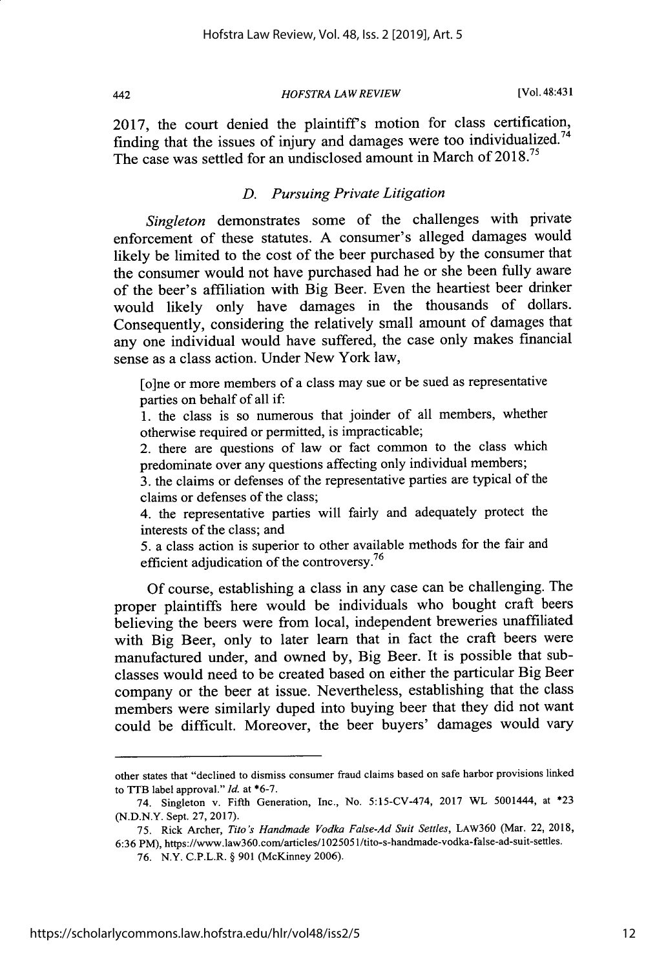442

*HOFSTRA LAW REVIEW* [Vol. 48:43 1

**2017,** the court denied the plaintiffs motion for class certification, finding that the issues of injury and damages were too individualized.<sup>74</sup> The case was settled for an undisclosed amount in March of **2018.**

# *D. Pursuing Private Litigation*

*Singleton* demonstrates some of the challenges with private enforcement of these statutes. **A** consumer's alleged damages would likely be limited to the cost of the beer purchased **by** the consumer that the consumer would not have purchased had he or she been **fully** aware of the beer's affiliation with Big Beer. Even the heartiest beer drinker would likely only have damages in the thousands of dollars. Consequently, considering the relatively small amount of damages that any one individual would have suffered, the case only makes financial sense as a class action. Under New York law,

[o]ne or more members of a class may sue or be sued as representative parties on behalf of all if:

**1.** the class is so numerous that joinder of all members, whether otherwise required or permitted, is impracticable;

2. there are questions of law or fact common to the class which predominate over any questions affecting only individual members;

**3.** the claims or defenses of the representative parties are typical of the claims or defenses of the class;

4. the representative parties will fairly and adequately protect the interests of the class; and

*5.* a class action is superior to other available methods for the fair and efficient adjudication of the controversy.<sup>76</sup>

**Of** course, establishing a class in any case can be challenging. The proper plaintiffs here would be individuals who bought craft beers believing the beers were from local, independent breweries unaffiliated with Big Beer, only to later learn that in fact the craft beers were manufactured under, and owned **by,** Big Beer. It is possible that subclasses would need to be created based on either the particular Big Beer company or the beer at issue. Nevertheless, establishing that the class members were similarly duped into buying beer that they did not want could be difficult. Moreover, the beer buyers' damages would vary

other states that "declined to dismiss consumer fraud claims based on safe harbor provisions linked to TTB label approval."Id. at **\*6-7.**

<sup>74.</sup> Singleton v. Fifth Generation, Inc., No. 5:15-CV-474, **2017** WL 5001444, at **\*23 (N.D.N.Y.** Sept. **27,2017).**

*<sup>75.</sup>* Rick Archer, *Tito's Handmade Vodka False-Ad Suit Settles,* LAw360 (Mar. 22, **2018, 6:36** PM), https://www.aw360.com/articles/1025051/tito-s-handmade-vodka-false-ad-suit-settles.

**<sup>76.</sup>** N.Y. C.P.L.R. **§ 901** (McKinney **2006).**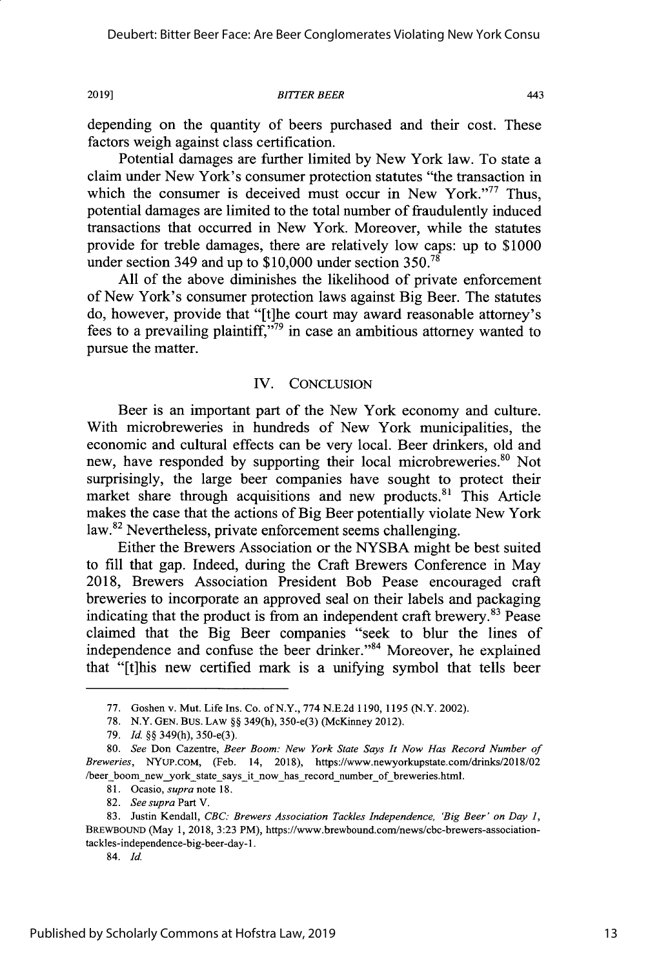**2019]** *BITTER BEER* 443

depending on the quantity of beers purchased and their cost. These factors weigh against class certification.

Potential damages are further limited **by** New York law. To state a claim under New York's consumer protection statutes "the transaction in which the consumer is deceived must occur in New York. $177$  Thus, potential damages are limited to the total number of fraudulently induced transactions that occurred in New York. Moreover, while the statutes provide for treble damages, there are relatively low caps: up to **\$1000** under section 349 and up to **\$10,000** under section *350.78*

**All** of the above diminishes the likelihood of private enforcement of New York's consumer protection laws against Big Beer. The statutes do, however, provide that "[t]he court may award reasonable attorney's fees to a prevailing plaintiff, $\frac{1}{2}$  in case an ambitious attorney wanted to pursue the matter.

#### IV. **CONCLUSION**

Beer is an important part of the New York economy and culture. With microbreweries in hundreds of New York municipalities, the economic and cultural effects can be very local. Beer drinkers, old and new, have responded by supporting their local microbreweries.<sup>80</sup> Not surprisingly, the large beer companies have sought to protect their market share through acquisitions and new products. $81$  This Article makes the case that the actions of Big Beer potentially violate New York law.<sup>82</sup> Nevertheless, private enforcement seems challenging.

Either the Brewers Association or the **NYSBA** might be best suited to fill that gap. Indeed, during the Craft Brewers Conference in May **2018,** Brewers Association President Bob Pease encouraged craft breweries to incorporate an approved seal on their labels and packaging indicating that the product is from an independent craft brewery. $83$  Pease claimed that the Big Beer companies "seek to blur the lines of independence and confuse the beer drinker."<sup>84</sup> Moreover, he explained that "[t]his new certified mark is a unifying symbol that tells beer

**<sup>77.</sup>** Goshen v. Mut. Life Ins. Co. ofN.Y., **774 N.E.2d 1190, 1195** (N.Y. 2002).

**<sup>78.</sup>** N.Y. **GEN.** Bus. LAW **§§** 349(h), 350-e(3) (McKinney 2012).

**<sup>79.</sup>** *Id.* **§§** 349(h), 350-e(3).

*<sup>80.</sup> See* Don Cazentre, *Beer Boom: New York State Says It Now Has Record Number of Breweries,* **NYUP.COM,** (Feb. 14, **2018),** https://www.newyorkupstate.com/drinks/2018/02 /beer-boom new york state says it now has record number of breweries.html.

**<sup>81.</sup>** *Ocasio, supra* note **18.**

*<sup>82.</sup> See supra* Part V.

**<sup>83.</sup>** Justin Kendall, *CBC: Brewers Association Tackles Independence, 'Big Beer' on Day 1,* BREwBouND (May **1, 2018, 3:23** PM), https://www.brewbound.com/news/cbc-brewers-associationtackles-independence-big-beer-day-1.

*<sup>84.</sup> Id*